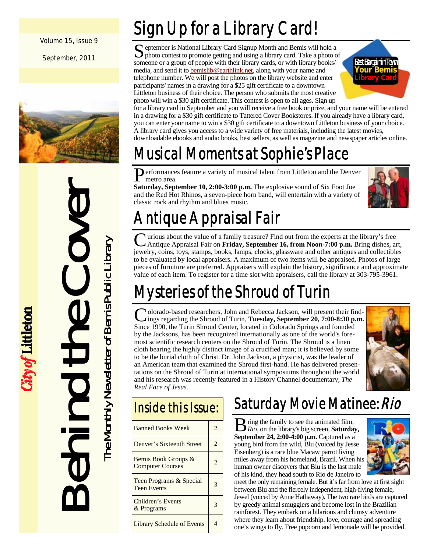#### Volume 15, Issue 9

September, 2011



# Behind the Cover

City of Littleton

The Monthly Newsletter of Bemis Public Library The Monthly Newsletter of Bemis Public Library

# Sign Up for a Library Card!

S eptember is National Library Card Signup Month and Bemis will hold a photo contest to promote getting and using a library card. Take a photo of someone or a group of people with their library cards, or with library books/ media, and send it to **bemislib@earthlink.net**, along with your name and telephone number. We will post the photos on the library website and enter participants' names in a drawing for a \$25 gift certificate to a downtown Littleton business of their choice. The person who submits the most creative photo will win a \$30 gift certificate. This contest is open to all ages. Sign up



for a library card in September and you will receive a free book or prize, and your name will be entered in a drawing for a \$30 gift certificate to Tattered Cover Bookstores. If you already have a library card, you can enter your name to win a \$30 gift certificate to a downtown Littleton business of your choice. A library card gives you access to a wide variety of free materials, including the latest movies, downloadable ebooks and audio books, best sellers, as well as magazine and newspaper articles online.

# Musical Moments at Sophie's Place

Performances feature a variety of musical talent from Littleton and the Denver metro area.

**Saturday, September 10, 2:00-3:00 p.m.** The explosive sound of Six Foot Joe and the Red Hot Rhinos, a seven-piece horn band, will entertain with a variety of classic rock and rhythm and blues music.



# Antique Appraisal Fair

U urious about the value of a family treasure? Find out from the experts at the library's free Antique Appraisal Fair on **Friday, September 16, from Noon-7:00 p.m.** Bring dishes, art, jewelry, coins, toys, stamps, books, lamps, clocks, glassware and other antiques and collectibles to be evaluated by local appraisers. A maximum of two items will be appraised. Photos of large pieces of furniture are preferred. Appraisers will explain the history, significance and approximate value of each item. To register for a time slot with appraisers, call the library at 303-795-3961.

# Mysteries of the Shroud of Turin

C olorado-based researchers, John and Rebecca Jackson, will present their find-<br>ings regarding the Shroud of Turin, **Tuesday, September 20, 7:00-8:30 p.m.** Since 1990, the Turin Shroud Center, located in Colorado Springs and founded by the Jacksons, has been recognized internationally as one of the world's foremost scientific research centers on the Shroud of Turin. The Shroud is a linen cloth bearing the highly distinct image of a crucified man; it is believed by some to be the burial cloth of Christ. Dr. John Jackson, a physicist, was the leader of an American team that examined the Shroud first-hand. He has delivered presentations on the Shroud of Turin at international symposiums throughout the world and his research was recently featured in a History Channel documentary, *The Real Face of Jesus.*



## Inside this Issue:

| <b>Banned Books Week</b>                       | 2 |
|------------------------------------------------|---|
| Denver's Sixteenth Street                      | 2 |
| Bemis Book Groups &<br><b>Computer Courses</b> | 2 |
| Teen Programs & Special<br><b>Teen Events</b>  |   |
| Children's Events<br>& Programs                |   |
| <b>Library Schedule of Events</b>              |   |

## Saturday Movie Matinee: Rio

B ring the family to see the animated film, *Rio,* on the library's big screen, **Saturday, September 24, 2:00-4:00 p.m.** Captured as a young bird from the wild, Blu (voiced by Jesse Eisenberg) is a rare blue Macaw parrot living miles away from his homeland, Brazil. When his human owner discovers that Blu is the last male of his kind, they head south to Rio de Janeiro to



meet the only remaining female. But it's far from love at first sight between Blu and the fiercely independent, high-flying female, Jewel (voiced by Anne Hathaway). The two rare birds are captured by greedy animal smugglers and become lost in the Brazilian rainforest. They embark on a hilarious and clumsy adventure where they learn about friendship, love, courage and spreading one's wings to fly. Free popcorn and lemonade will be provided.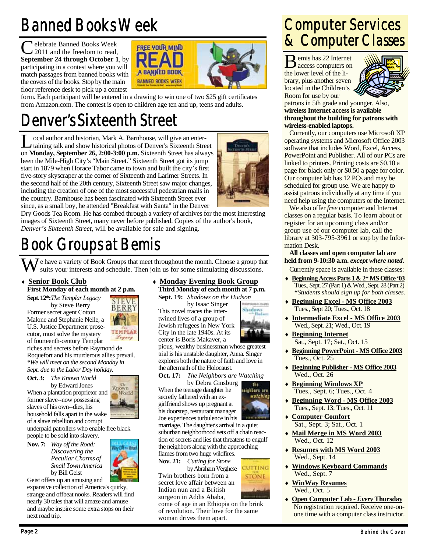# Banned Books Week

**N** elebrate Banned Books Week 2011 and the freedom to read, **September 24 through October 1**, by participating in a contest where you will match passages from banned books with the covers of the books. Stop by the main floor reference desk to pick up a contest





form. Each participant will be entered in a drawing to win one of two \$25 gift certificates from Amazon.com. The contest is open to children age ten and up, teens and adults.

## Denver's Sixteenth Street

L ocal author and historian, Mark A. Barnhouse, will give an enter-taining talk and show historical photos of Denver's Sixteenth Street on **Monday, September 26, 2:00-3:00 p.m.** Sixteenth Street has always been the Mile-High City's "Main Street." Sixteenth Street got its jump start in 1879 when Horace Tabor came to town and built the city's first five-story skyscraper at the corner of Sixteenth and Larimer Streets. In the second half of the 20th century, Sixteenth Street saw major changes, including the creation of one of the most successful pedestrian malls in the country. Barnhouse has been fascinated with Sixteenth Street ever since, as a small boy, he attended "Breakfast with Santa" in the Denver



Shadows

seighbors are

CUTTING **STONE** 

watchin

Dry Goods Tea Room. He has combed through a variety of archives for the most interesting images of Sixteenth Street, many never before published. Copies of the author's book, *Denver's Sixteenth Street,* will be available for sale and signing.

# Book Groups at Bemis

 $\widetilde{M}$  e have a variety of Book Groups that meet throughout the month. Choose a group that suits your interests and schedule. Then join us for some stimulating discussions.

#### **Senior Book Club**

**First Monday of each month at 2 p.m.** 

**Sept. 12\*:** *The Templar Legacy*  by Steve Berry

Former secret agent Cotton Malone and Stephanie Nelle, a U.S. Justice Department prosecutor, must solve the mystery of fourteenth-century Templar



World

riches and secrets before Raymond de Roquefort and his murderous allies prevail. *\*We will meet on the second Monday in Sept. due to the Labor Day holiday.* 

**Oct. 3:** *The Known World*  by Edward Jones When a plantation proprietor and former slave--now possessing slaves of his own--dies, his household falls apart in the wake of a slave rebellion and corrupt

underpaid patrollers who enable free black people to be sold into slavery.

**Nov. 7:** *Way off the Road: Discovering the Peculiar Charms of Small Town America*  **by Bill Geist** Geist offers up an amusing and

expansive collection of America's quirky, strange and offbeat nooks. Readers will find nearly 30 tales that will amaze and amuse and maybe inspire some extra stops on their next road trip.

#### **Monday Evening Book Group Third Monday of each month at 7 p.m.**

**Sept. 19:** *Shadows on the Hudson*  by Isaac Singer

This novel traces the intertwined lives of a group of Jewish refugees in New York City in the late 1940s. At its center is Boris Makaver, a

pious, wealthy businessman whose greatest trial is his unstable daughter, Anna. Singer explores both the nature of faith and love in the aftermath of the Holocaust.

**Oct. 17:** *The Neighbors are Watching* 

by Debra Ginsburg When the teenage daughter he secretly fathered with an exgirlfriend shows up pregnant at his doorstep, restaurant manager Joe experiences turbulence in his

marriage. The daughter's arrival in a quiet suburban neighborhood sets off a chain reaction of secrets and lies that threatens to engulf the neighbors along with the approaching flames from two huge wildfires.

**Nov. 21:** *Cutting for Stone* 

by Abraham Verghese Twin brothers born from a secret love affair between an Indian nun and a British surgeon in Addis Ababa,

come of age in an Ethiopia on the brink of revolution. Their love for the same woman drives them apart.

## Computer Services & Computer Classes

B emis has 22 Internet access computers on the lower level of the library, plus another seven located in the Children's Room for use by our



patrons in 5th grade and younger. Also, **wireless Internet access is available throughout the building for patrons with wireless-enabled laptops.**

 Currently, our computers use Microsoft XP operating systems and Microsoft Office 2003 software that includes Word, Excel, Access, PowerPoint and Publisher. All of our PCs are linked to printers. Printing costs are \$0.10 a page for black only or \$0.50 a page for color. Our computer lab has 12 PCs and may be scheduled for group use. We are happy to assist patrons individually at any time if you need help using the computers or the Internet.

 We also offer *free* computer and Internet classes on a regular basis. To learn about or register for an upcoming class and/or group use of our computer lab, call the library at 303-795-3961 or stop by the Information Desk.

**All classes and open computer lab are held from 9-10:30 a.m.** *except where noted.* 

Currently space is available in these classes:

- **Beginning Access Parts 1 & 2\* MS Office '03** Tues., Sept. 27 (Part 1) & Wed., Sept. 28 (Part 2)  **\****Students should sign up for both classes.*
- **Beginning Excel MS Office 2003** Tues., Sept 20; Tues., Oct. 18
- **Intermediate Excel MS Office 2003** Wed., Sept. 21; Wed., Oct. 19
- **Beginning Internet** Sat., Sept. 17; Sat., Oct. 15
- **Beginning PowerPoint MS Office 2003** Tues., Oct. 25
- **Beginning Publisher MS Office 2003** Wed., Oct. 26
- **Beginning Windows XP** Tues., Sept. 6; Tues., Oct. 4
- **Beginning Word MS Office 2003** Tues., Sept. 13; Tues., Oct. 11
- **Computer Comfort** Sat., Sept. 3; Sat., Oct. 1
- **Mail Merge in MS Word 2003** Wed., Oct. 12
- **Resumes with MS Word 2003** Wed., Sept. 14
- **Windows Keyboard Commands** Wed., Sept. 7
- **WinWay Resumes** Wed., Oct. 5
- **Open Computer Lab** *Every* **Thursday** No registration required. Receive one-onone time with a computer class instructor.



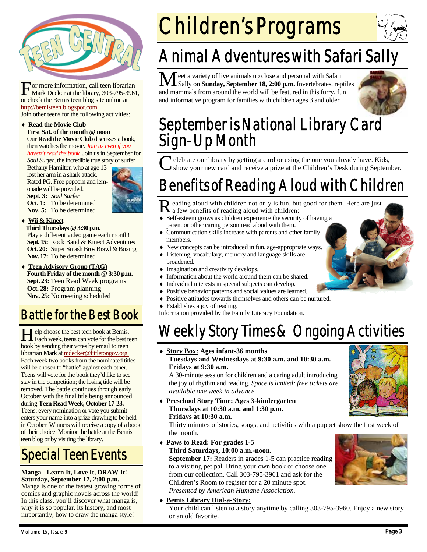

For more information, call teen librarian<br>Mark Decker at the library, 303-795-3961, or check the Bemis teen blog site online at http://bemisteen.blogspot.com.

Join other teens for the following activities:

#### **Read the Movie Club First Sat. of the month @ noon**  Our **Read the Movie Club** discusses a book, then watches the movie. *Join us even if you*

*haven't read the book.* Join us in September for *Soul Surfer,* the incredible true story of surfer

Bethany Hamilton who at age 13 lost her arm in a shark attack. Rated PG. Free popcorn and lemonade will be provided. **Sept. 3:** *Soul Surfer* **Oct. 1:** To be determined **Nov. 5:** To be determined



#### **Wii & Kinect**

 **Third Thursdays @ 3:30 p.m.**  Play a different video game each month! **Sept. 15:** Rock Band & Kinect Adventures **Oct. 20:** Super Smash Bros Brawl & Boxing **Nov. 17:** To be determined

 **Teen Advisory Group (TAG) Fourth Friday of the month @ 3:30 p.m. Sept. 23:** Teen Read Week programs **Oct. 28:** Program planning **Nov. 25:** No meeting scheduled

### Battle for the Best Book

H elp choose the best teen book at Bemis.<br>Each week, teens can vote for the best teen book by sending their votes by email to teen librarian Mark at mdecker@littletongov.org. Each week two books from the nominated titles will be chosen to "battle" against each other. Teens will vote for the book they'd like to see stay in the competition; the losing title will be removed. The battle continues through early October with the final title being announced during **Teen Read Week, October 17-23.** Teens: every nomination or vote you submit enters your name into a prize drawing to be held in October. Winners will receive a copy of a book of their choice. Monitor the battle at the Bemis teen blog or by visiting the library.

## Special Teen Events

#### **Manga - Learn It, Love It, DRAW It! Saturday, September 17, 2:00 p.m.**

Manga is one of the fastest growing forms of comics and graphic novels across the world! In this class, you'll discover what manga is, why it is so popular, its history, and most importantly, how to draw the manga style!

# Children's Programs

# Animal Adventures with Safari Sally

M eet a variety of live animals up close and personal with Safari Sally on **Sunday, September 18, 2:00 p.m.** Invertebrates, reptiles and mammals from around the world will be featured in this furry, fun and informative program for families with children ages 3 and older.



## September is National Library Card Sign-Up Month

C elebrate our library by getting a card or using the one you already have. Kids, show your new card and receive a prize at the Children's Desk during September.

# Benefits of Reading Aloud with Children

Reading aloud with children not only is fun, but good for them. Here are just a few benefits of reading aloud with children:

- Self-esteem grows as children experience the security of having a parent or other caring person read aloud with them.
- Communication skills increase with parents and other family members.
- New concepts can be introduced in fun, age-appropriate ways.
- Listening, vocabulary, memory and language skills are broadened.
- $\bullet$  Imagination and creativity develops.
- Information about the world around them can be shared.
- Individual interests in special subjects can develop.
- Positive behavior patterns and social values are learned.
- Positive attitudes towards themselves and others can be nurtured.
- Establishes a joy of reading.

Information provided by the Family Literacy Foundation.

## Weekly Story Times & Ongoing Activities

 **Story Box: Ages infant-36 months Tuesdays and Wednesdays at 9:30 a.m. and 10:30 a.m. Fridays at 9:30 a.m.** 

A 30-minute session for children and a caring adult introducing the joy of rhythm and reading. *Space is limited; free tickets are available one week in advance.* 

 **Preschool Story Time: Ages 3-kindergarten Thursdays at 10:30 a.m. and 1:30 p.m. Fridays at 10:30 a.m.** 

Thirty minutes of stories, songs, and activities with a puppet show the first week of the month.

 **Paws to Read: For grades 1-5 Third Saturdays, 10:00 a.m.-noon.** 

**September 17:** Readers in grades 1-5 can practice reading to a visiting pet pal. Bring your own book or choose one from our collection. Call 303-795-3961 and ask for the Children's Room to register for a 20 minute spot. *Presented by American Humane Association.* 



**Bemis Library Dial-a-Story:**

Your child can listen to a story anytime by calling 303-795-3960. Enjoy a new story or an old favorite.